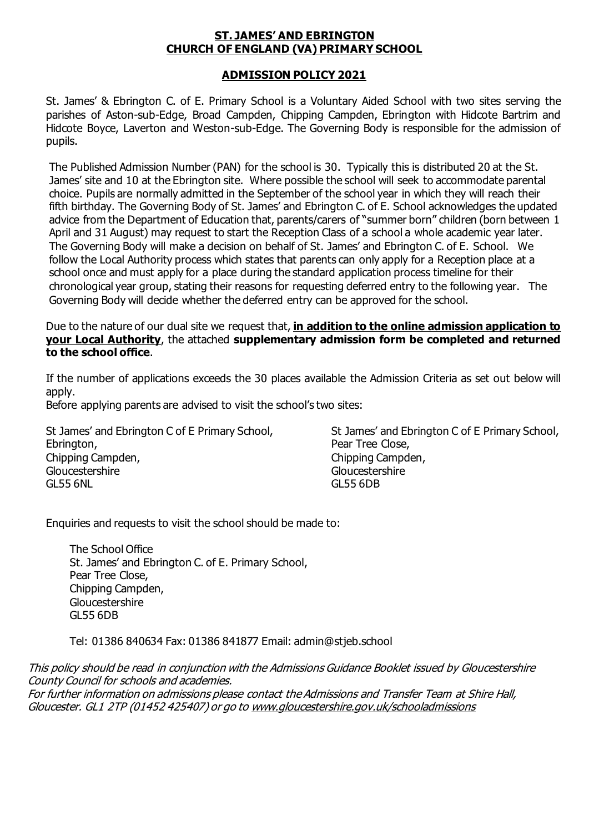#### **ST. JAMES' AND EBRINGTON CHURCH OF ENGLAND (VA) PRIMARY SCHOOL**

#### **ADMISSION POLICY 2021**

St. James' & Ebrington C. of E. Primary School is a Voluntary Aided School with two sites serving the parishes of Aston-sub-Edge, Broad Campden, Chipping Campden, Ebrington with Hidcote Bartrim and Hidcote Boyce, Laverton and Weston-sub-Edge. The Governing Body is responsible for the admission of pupils.

The Published Admission Number (PAN) for the school is 30. Typically this is distributed 20 at the St. James' site and 10 at the Ebrington site. Where possible the school will seek to accommodate parental choice. Pupils are normally admitted in the September of the school year in which they will reach their fifth birthday. The Governing Body of St. James' and Ebrington C. of E. School acknowledges the updated advice from the Department of Education that, parents/carers of "summer born" children (born between 1 April and 31 August) may request to start the Reception Class of a school a whole academic year later. The Governing Body will make a decision on behalf of St. James' and Ebrington C. of E. School. We follow the Local Authority process which states that parents can only apply for a Reception place at a school once and must apply for a place during the standard application process timeline for their chronological year group, stating their reasons for requesting deferred entry to the following year. The Governing Body will decide whether the deferred entry can be approved for the school.

Due to the nature of our dual site we request that, **in addition to the online admission application to your Local Authority**, the attached **supplementary admission form be completed and returned to the school office**.

If the number of applications exceeds the 30 places available the Admission Criteria as set out below will apply.

Before applying parents are advised to visit the school's two sites:

St James' and Ebrington C of E Primary School, Ebrington, Chipping Campden, Gloucestershire GL55 6NL

St James' and Ebrington C of E Primary School, Pear Tree Close, Chipping Campden, **Gloucestershire** GL55 6DB

Enquiries and requests to visit the school should be made to:

The School Office St. James' and Ebrington C. of E. Primary School, Pear Tree Close, Chipping Campden, Gloucestershire GL55 6DB

Tel: 01386 840634 Fax: 01386 841877 Email: admin@stjeb.school

This policy should be read in conjunction with the Admissions Guidance Booklet issued by Gloucestershire County Council for schools and academies. For further information on admissions please contact the Admissions and Transfer Team at Shire Hall, Gloucester. GL1 2TP (01452 425407) or go t[o www.gloucestershire.gov.uk/schooladmissions](http://www.gloucestershire.gov.uk/schooladmissions)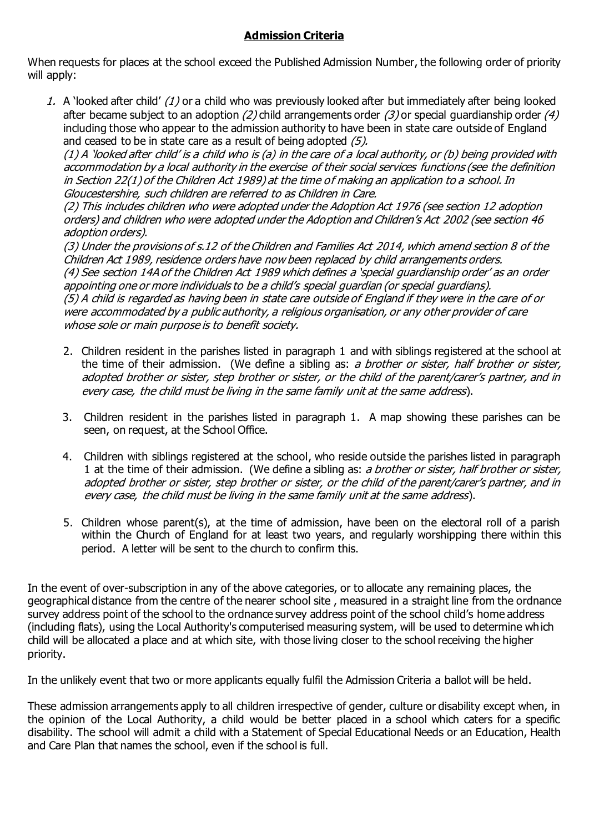## **Admission Criteria**

When requests for places at the school exceed the Published Admission Number, the following order of priority will apply:

1. A 'looked after child' (1) or a child who was previously looked after but immediately after being looked after became subject to an adoption (2) child arrangements order (3) or special quardianship order (4) including those who appear to the admission authority to have been in state care outside of England and ceased to be in state care as a result of being adopted (5).

 $(1)$  A 'looked after child' is a child who is (a) in the care of a local authority, or (b) being provided with accommodation by a local authority in the exercise of their social services functions (see the definition in Section 22(1) of the Children Act 1989) at the time of making an application to a school. In Gloucestershire, such children are referred to as Children in Care.

(2) This includes children who were adopted under the Adoption Act 1976 (see section 12 adoption orders) and children who were adopted under the Adoption and Children's Act 2002 (see section 46 adoption orders).

(3) Under the provisions of s.12 of the Children and Families Act 2014, which amend section 8 of the Children Act 1989, residence orders have now been replaced by child arrangements orders. (4) See section 14A of the Children Act 1989 which defines a 'special guardianship order' as an order appointing one or more individuals to be a child's special guardian (or special guardians). (5) A child is regarded as having been in state care outside of England if they were in the care of or were accommodated by a public authority, a religious organisation, or any other provider of care whose sole or main purpose is to benefit society.

- 2. Children resident in the parishes listed in paragraph 1 and with siblings registered at the school at the time of their admission. (We define a sibling as: a brother or sister, half brother or sister, adopted brother or sister, step brother or sister, or the child of the parent/carer's partner, and in every case, the child must be living in the same family unit at the same address).
- 3. Children resident in the parishes listed in paragraph 1. A map showing these parishes can be seen, on request, at the School Office.
- 4. Children with siblings registered at the school, who reside outside the parishes listed in paragraph 1 at the time of their admission. (We define a sibling as: a brother or sister, half brother or sister, adopted brother or sister, step brother or sister, or the child of the parent/carer's partner, and in every case, the child must be living in the same family unit at the same address).
- 5. Children whose parent(s), at the time of admission, have been on the electoral roll of a parish within the Church of England for at least two years, and regularly worshipping there within this period. A letter will be sent to the church to confirm this.

In the event of over-subscription in any of the above categories, or to allocate any remaining places, the geographical distance from the centre of the nearer school site , measured in a straight line from the ordnance survey address point of the school to the ordnance survey address point of the school child's home address (including flats), using the Local Authority's computerised measuring system, will be used to determine which child will be allocated a place and at which site, with those living closer to the school receiving the higher priority.

In the unlikely event that two or more applicants equally fulfil the Admission Criteria a ballot will be held.

These admission arrangements apply to all children irrespective of gender, culture or disability except when, in the opinion of the Local Authority, a child would be better placed in a school which caters for a specific disability. The school will admit a child with a Statement of Special Educational Needs or an Education, Health and Care Plan that names the school, even if the school is full.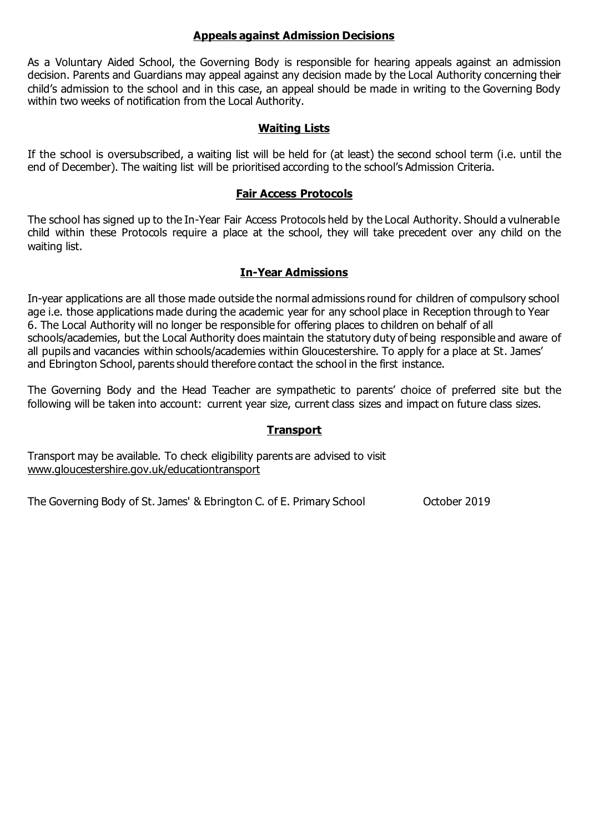#### **Appeals against Admission Decisions**

As a Voluntary Aided School, the Governing Body is responsible for hearing appeals against an admission decision. Parents and Guardians may appeal against any decision made by the Local Authority concerning their child's admission to the school and in this case, an appeal should be made in writing to the Governing Body within two weeks of notification from the Local Authority.

## **Waiting Lists**

If the school is oversubscribed, a waiting list will be held for (at least) the second school term (i.e. until the end of December). The waiting list will be prioritised according to the school's Admission Criteria.

### **Fair Access Protocols**

The school has signed up to the In-Year Fair Access Protocols held by the Local Authority. Should a vulnerable child within these Protocols require a place at the school, they will take precedent over any child on the waiting list.

#### **In-Year Admissions**

In-year applications are all those made outside the normal admissions round for children of compulsory school age i.e. those applications made during the academic year for any school place in Reception through to Year 6. The Local Authority will no longer be responsible for offering places to children on behalf of all schools/academies, but the Local Authority does maintain the statutory duty of being responsible and aware of all pupils and vacancies within schools/academies within Gloucestershire. To apply for a place at St. James' and Ebrington School, parents should therefore contact the school in the first instance.

The Governing Body and the Head Teacher are sympathetic to parents' choice of preferred site but the following will be taken into account: current year size, current class sizes and impact on future class sizes.

#### **Transport**

Transport may be available. To check eligibility parents are advised to visit [www.gloucestershire.gov.uk/educationtransport](http://www.gloucestershire.gov.uk/educationtransport)

The Governing Body of St. James' & Ebrington C. of E. Primary School October 2019